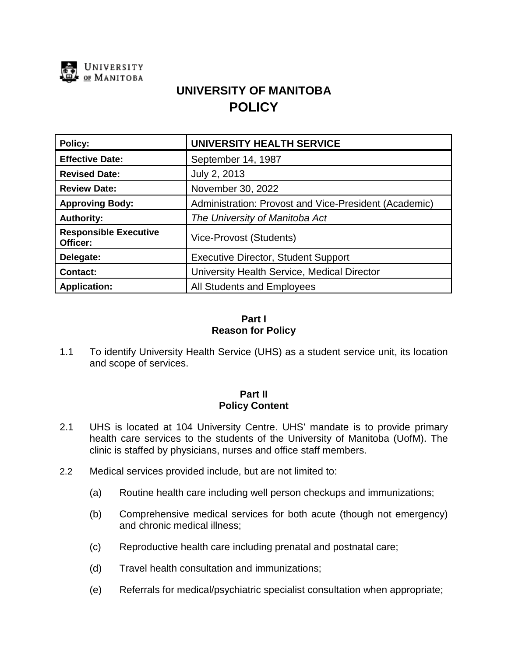

# **UNIVERSITY OF MANITOBA POLICY**

| Policy:                                  | <b>UNIVERSITY HEALTH SERVICE</b>                      |
|------------------------------------------|-------------------------------------------------------|
| <b>Effective Date:</b>                   | September 14, 1987                                    |
| <b>Revised Date:</b>                     | July 2, 2013                                          |
| <b>Review Date:</b>                      | November 30, 2022                                     |
| <b>Approving Body:</b>                   | Administration: Provost and Vice-President (Academic) |
| <b>Authority:</b>                        | The University of Manitoba Act                        |
| <b>Responsible Executive</b><br>Officer: | Vice-Provost (Students)                               |
| Delegate:                                | <b>Executive Director, Student Support</b>            |
| <b>Contact:</b>                          | University Health Service, Medical Director           |
| <b>Application:</b>                      | All Students and Employees                            |

# **Part I Reason for Policy**

1.1 To identify University Health Service (UHS) as a student service unit, its location and scope of services.

## **Part II Policy Content**

- 2.1 UHS is located at 104 University Centre. UHS' mandate is to provide primary health care services to the students of the University of Manitoba (UofM). The clinic is staffed by physicians, nurses and office staff members.
- 2.2 Medical services provided include, but are not limited to:
	- (a) Routine health care including well person checkups and immunizations;
	- (b) Comprehensive medical services for both acute (though not emergency) and chronic medical illness;
	- (c) Reproductive health care including prenatal and postnatal care;
	- (d) Travel health consultation and immunizations;
	- (e) Referrals for medical/psychiatric specialist consultation when appropriate;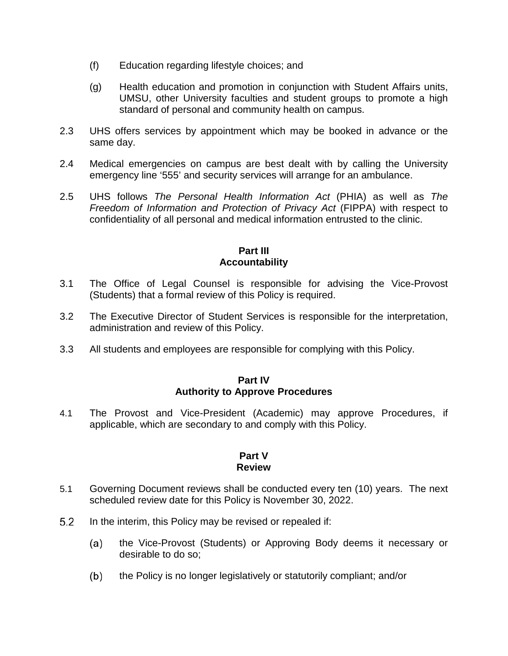- (f) Education regarding lifestyle choices; and
- (g) Health education and promotion in conjunction with Student Affairs units, UMSU, other University faculties and student groups to promote a high standard of personal and community health on campus.
- 2.3 UHS offers services by appointment which may be booked in advance or the same day.
- 2.4 Medical emergencies on campus are best dealt with by calling the University emergency line '555' and security services will arrange for an ambulance.
- 2.5 UHS follows *The Personal Health Information Act* (PHIA) as well as *The Freedom of Information and Protection of Privacy Act* (FIPPA) with respect to confidentiality of all personal and medical information entrusted to the clinic.

# **Part III Accountability**

- 3.1 The Office of Legal Counsel is responsible for advising the Vice-Provost (Students) that a formal review of this Policy is required.
- 3.2 The Executive Director of Student Services is responsible for the interpretation, administration and review of this Policy.
- 3.3 All students and employees are responsible for complying with this Policy.

#### **Part IV Authority to Approve Procedures**

4.1 The Provost and Vice-President (Academic) may approve Procedures, if applicable, which are secondary to and comply with this Policy.

# **Part V Review**

- 5.1 Governing Document reviews shall be conducted every ten (10) years. The next scheduled review date for this Policy is November 30, 2022.
- $5.2$ In the interim, this Policy may be revised or repealed if:
	- $(a)$ the Vice-Provost (Students) or Approving Body deems it necessary or desirable to do so;
	- $(b)$ the Policy is no longer legislatively or statutorily compliant; and/or